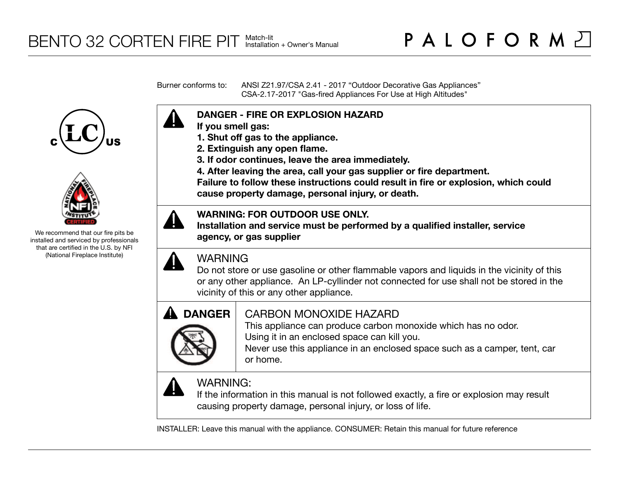Burner conforms to: ANSI Z21.97/CSA 2.41 - 2017 "Outdoor Decorative Gas Appliances" CSA-2.17-2017 "Gas-fired Appliances For Use at High Altitudes"





We recommend that our fire pits be installed and serviced by professionals that are certified in the U.S. by NFI (National Fireplace Institute)



- **If you smell gas:**
- **1. Shut off gas to the appliance.**
- **2. Extinguish any open flame.**
- **3. If odor continues, leave the area immediately.**
- **4. After leaving the area, call your gas supplier or fire department.**

**Failure to follow these instructions could result in fire or explosion, which could cause property damage, personal injury, or death.**

## **WARNING: FOR OUTDOOR USE ONLY.**

**Installation and service must be performed by a qualified installer, service agency, or gas supplier**



## WARNING

Do not store or use gasoline or other flammable vapors and liquids in the vicinity of this or any other appliance. An LP-cyllinder not connected for use shall not be stored in the vicinity of this or any other appliance.



## CARBON MONOXIDE HAZARD

This appliance can produce carbon monoxide which has no odor. Using it in an enclosed space can kill you.

Never use this appliance in an enclosed space such as a camper, tent, car or home.



# WARNING:

If the information in this manual is not followed exactly, a fire or explosion may result causing property damage, personal injury, or loss of life.

INSTALLER: Leave this manual with the appliance. CONSUMER: Retain this manual for future reference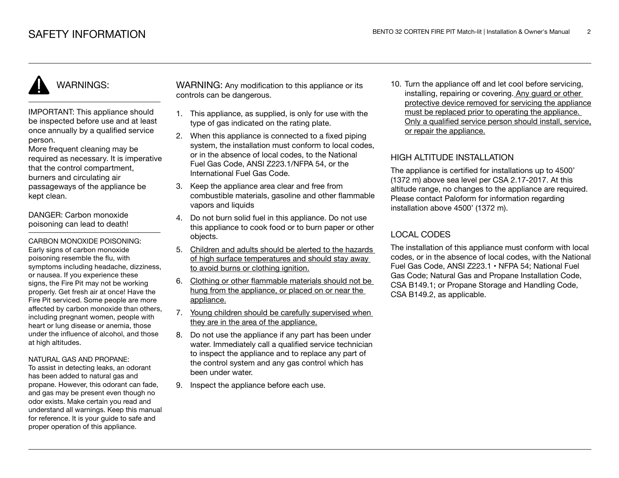# WARNINGS:

IMPORTANT: This appliance should be inspected before use and at least once annually by a qualified service person.

More frequent cleaning may be required as necessary. It is imperative that the control compartment, burners and circulating air passageways of the appliance be kept clean.

DANGER: Carbon monoxide poisoning can lead to death!

CARBON MONOXIDE POISONING: Early signs of carbon monoxide poisoning resemble the flu, with symptoms including headache, dizziness, or nausea. If you experience these signs, the Fire Pit may not be working properly. Get fresh air at once! Have the Fire Pit serviced. Some people are more affected by carbon monoxide than others, including pregnant women, people with heart or lung disease or anemia, those under the influence of alcohol, and those at high altitudes.

#### NATURAL GAS AND PROPANE:

To assist in detecting leaks, an odorant has been added to natural gas and propane. However, this odorant can fade, and gas may be present even though no odor exists. Make certain you read and understand all warnings. Keep this manual for reference. It is your guide to safe and proper operation of this appliance.

WARNING: Any modification to this appliance or its controls can be dangerous.

- 1. This appliance, as supplied, is only for use with the type of gas indicated on the rating plate.
- 2. When this appliance is connected to a fixed piping system, the installation must conform to local codes, or in the absence of local codes, to the National Fuel Gas Code, ANSI Z223.1/NFPA 54, or the International Fuel Gas Code.
- 3. Keep the appliance area clear and free from combustible materials, gasoline and other flammable vapors and liquids
- 4. Do not burn solid fuel in this appliance. Do not use this appliance to cook food or to burn paper or other objects.
- 5. Children and adults should be alerted to the hazards of high surface temperatures and should stay away to avoid burns or clothing ignition.
- 6. Clothing or other flammable materials should not be hung from the appliance, or placed on or near the appliance.
- 7. Young children should be carefully supervised when they are in the area of the appliance.
- 8. Do not use the appliance if any part has been under water. Immediately call a qualified service technician to inspect the appliance and to replace any part of the control system and any gas control which has been under water.
- 9. Inspect the appliance before each use.

10. Turn the appliance off and let cool before servicing, installing, repairing or covering. Any guard or other protective device removed for servicing the appliance must be replaced prior to operating the appliance. Only a qualified service person should install, service, or repair the appliance.

## HIGH ALTITUDE INSTALLATION

The appliance is certified for installations up to 4500' (1372 m) above sea level per CSA 2.17-2017. At this altitude range, no changes to the appliance are required. Please contact Paloform for information regarding installation above 4500' (1372 m).

## LOCAL CODES

The installation of this appliance must conform with local codes, or in the absence of local codes, with the National Fuel Gas Code, ANSI Z223.1 • NFPA 54; National Fuel Gas Code; Natural Gas and Propane Installation Code, CSA B149.1; or Propane Storage and Handling Code, CSA B149.2, as applicable.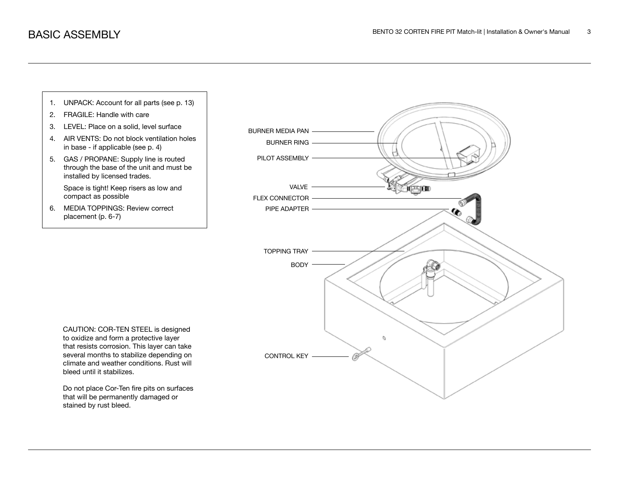

Do not place Cor-Ten fire pits on surfaces that will be permanently damaged or stained by rust bleed.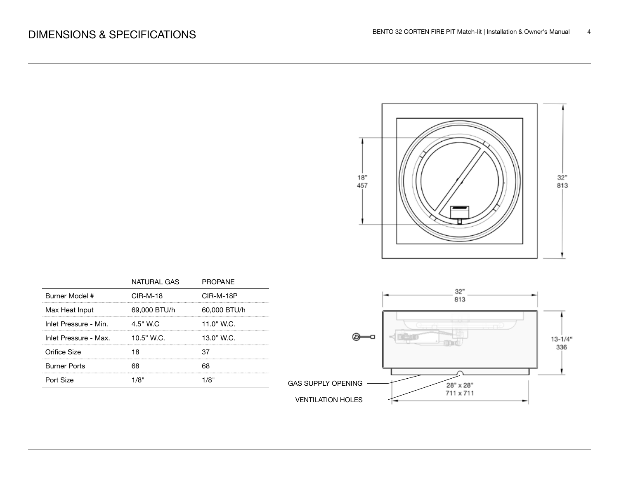

|                       | NATURAL GAS  | <b>PROPANE</b> |
|-----------------------|--------------|----------------|
| Burner Model #        | $CIR-M-18$   | CIR-M-18P      |
| Max Heat Input        | 69,000 BTU/h | 60,000 BTU/h   |
| Inlet Pressure - Min. | $4.5"$ W.C.  | 11.0" W.C.     |
| Inlet Pressure - Max. | $10.5"$ W.C. | 13.0" W.C.     |
| Orifice Size          |              |                |
| <b>Burner Ports</b>   |              |                |
| Port Size             |              |                |

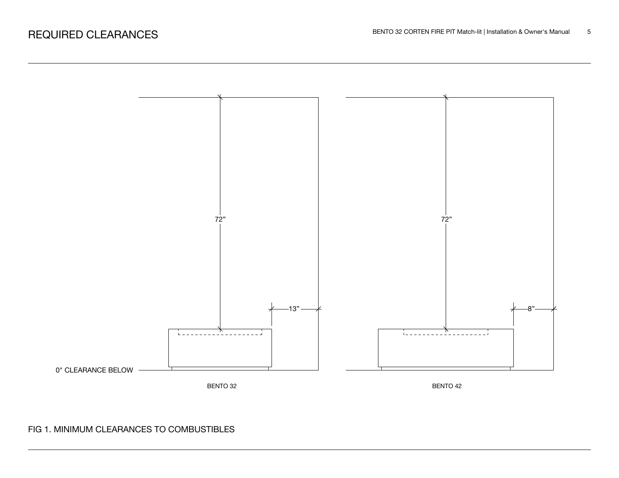

## FIG 1. MINIMUM CLEARANCES TO COMBUSTIBLES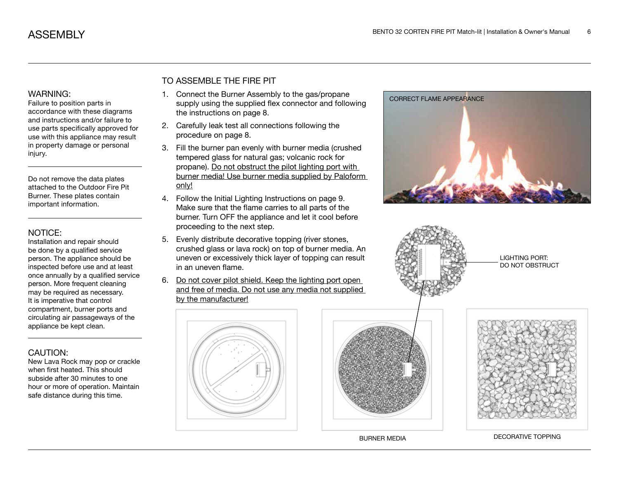### WARNING:

Failure to position parts in accordance with these diagrams and instructions and/or failure to use parts specifically approved for use with this appliance may result in property damage or personal injury.

Do not remove the data plates attached to the Outdoor Fire Pit Burner. These plates contain important information.

### NOTICE:

Installation and repair should be done by a qualified service person. The appliance should be inspected before use and at least once annually by a qualified service person. More frequent cleaning may be required as necessary. It is imperative that control compartment, burner ports and circulating air passageways of the appliance be kept clean.

## CAUTION:

New Lava Rock may pop or crackle when first heated. This should subside after 30 minutes to one hour or more of operation. Maintain safe distance during this time.

## TO ASSEMBLE THE FIRE PIT

- 1. Connect the Burner Assembly to the gas/propane supply using the supplied flex connector and following the instructions on page 8.
- 2. Carefully leak test all connections following the procedure on page 8.
- 3. Fill the burner pan evenly with burner media (crushed tempered glass for natural gas; volcanic rock for propane). Do not obstruct the pilot lighting port with burner media! Use burner media supplied by Paloform only!
- 4. Follow the Initial Lighting Instructions on page 9. Make sure that the flame carries to all parts of the burner. Turn OFF the appliance and let it cool before proceeding to the next step.
- 5. Evenly distribute decorative topping (river stones, crushed glass or lava rock) on top of burner media. An uneven or excessively thick layer of topping can result in an uneven flame.
- 6. Do not cover pilot shield. Keep the lighting port open and free of media. Do not use any media not supplied by the manufacturer!









LIGHTING PORT: DO NOT OBSTRUCT



BURNER MEDIA DECORATIVE TOPPING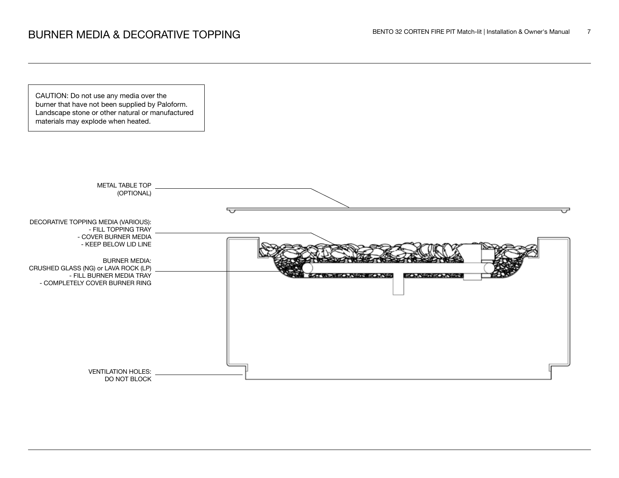# BENTO 32 CORTEN FIRE PIT Match-lit | Installation & Owner's Manual 7

CAUTION: Do not use any media over the burner that have not been supplied by Paloform. Landscape stone or other natural or manufactured materials may explode when heated.

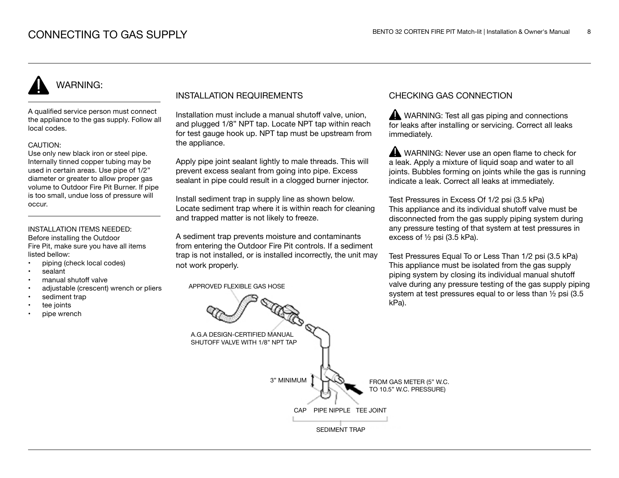# WARNING:

A qualified service person must connect the appliance to the gas supply. Follow all local codes.

#### CAUTION:

Use only new black iron or steel pipe. Internally tinned copper tubing may be used in certain areas. Use pipe of 1/2" diameter or greater to allow proper gas volume to Outdoor Fire Pit Burner. If pipe is too small, undue loss of pressure will occur.

### INSTALLATION ITEMS NEEDED:

Before installing the Outdoor Fire Pit, make sure you have all items listed bellow:

- piping (check local codes)
- sealant
- manual shutoff valve
- adjustable (crescent) wrench or pliers
- sediment trap
- tee joints
- pipe wrench

### INSTALLATION REQUIREMENTS

Installation must include a manual shutoff valve, union, and plugged 1/8" NPT tap. Locate NPT tap within reach for test gauge hook up. NPT tap must be upstream from the appliance.

Apply pipe joint sealant lightly to male threads. This will prevent excess sealant from going into pipe. Excess sealant in pipe could result in a clogged burner injector.

Install sediment trap in supply line as shown below. Locate sediment trap where it is within reach for cleaning and trapped matter is not likely to freeze.

A sediment trap prevents moisture and contaminants from entering the Outdoor Fire Pit controls. If a sediment trap is not installed, or is installed incorrectly, the unit may not work properly.

APPROVED FLEXIBLE GAS HOSE

### CHECKING GAS CONNECTION

WARNING: Test all gas piping and connections for leaks after installing or servicing. Correct all leaks immediately.

WARNING: Never use an open flame to check for a leak. Apply a mixture of liquid soap and water to all joints. Bubbles forming on joints while the gas is running indicate a leak. Correct all leaks at immediately.

Test Pressures in Excess Of 1/2 psi (3.5 kPa) This appliance and its individual shutoff valve must be disconnected from the gas supply piping system during any pressure testing of that system at test pressures in excess of ½ psi (3.5 kPa).

Test Pressures Equal To or Less Than 1/2 psi (3.5 kPa) This appliance must be isolated from the gas supply piping system by closing its individual manual shutoff valve during any pressure testing of the gas supply piping system at test pressures equal to or less than ½ psi (3.5 kPa).

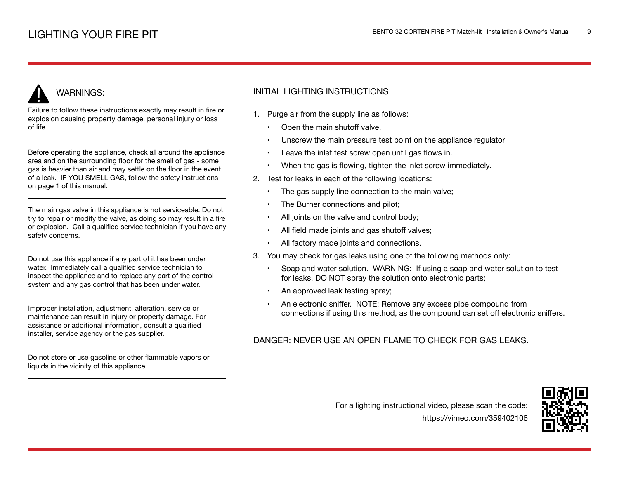# WARNINGS:

Failure to follow these instructions exactly may result in fire or explosion causing property damage, personal injury or loss of life.

Before operating the appliance, check all around the appliance area and on the surrounding floor for the smell of gas - some gas is heavier than air and may settle on the floor in the event of a leak. IF YOU SMELL GAS, follow the safety instructions on page 1 of this manual.

The main gas valve in this appliance is not serviceable. Do not try to repair or modify the valve, as doing so may result in a fire or explosion. Call a qualified service technician if you have any safety concerns.

Do not use this appliance if any part of it has been under water. Immediately call a qualified service technician to inspect the appliance and to replace any part of the control system and any gas control that has been under water.

Improper installation, adjustment, alteration, service or maintenance can result in injury or property damage. For assistance or additional information, consult a qualified installer, service agency or the gas supplier.

Do not store or use gasoline or other flammable vapors or liquids in the vicinity of this appliance.

## INITIAL LIGHTING INSTRUCTIONS

- 1. Purge air from the supply line as follows:
	- Open the main shutoff valve.
	- Unscrew the main pressure test point on the appliance regulator
	- Leave the inlet test screw open until gas flows in.
	- When the gas is flowing, tighten the inlet screw immediately.
- 2. Test for leaks in each of the following locations:
	- The gas supply line connection to the main valve;
	- The Burner connections and pilot;
	- All joints on the valve and control body;
	- All field made joints and gas shutoff valves;
	- All factory made joints and connections.
- 3. You may check for gas leaks using one of the following methods only:
	- Soap and water solution. WARNING: If using a soap and water solution to test for leaks, DO NOT spray the solution onto electronic parts;
	- An approved leak testing spray;
	- An electronic sniffer. NOTE: Remove any excess pipe compound from connections if using this method, as the compound can set off electronic sniffers.

## DANGER: NEVER USE AN OPEN FLAME TO CHECK FOR GAS LEAKS.



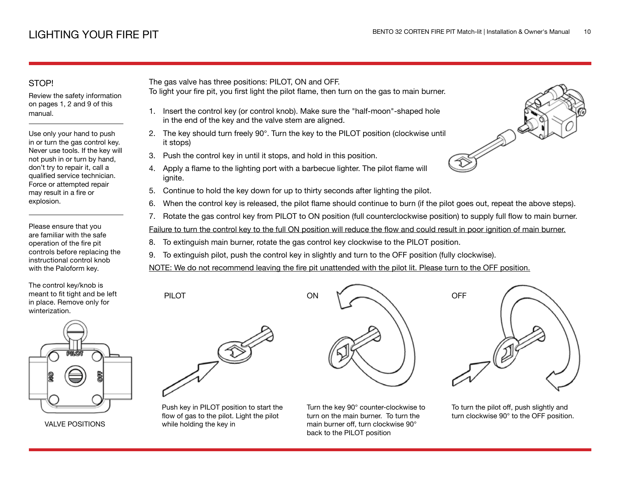## STOP!

Review the safety information on pages 1, 2 and 9 of this manual.

Use only your hand to push in or turn the gas control key. Never use tools. If the key will not push in or turn by hand, don't try to repair it, call a qualified service technician. Force or attempted repair may result in a fire or explosion.

Please ensure that you are familiar with the safe operation of the fire pit controls before replacing the instructional control knob with the Paloform key.

The control key/knob is meant to fit tight and be left in place. Remove only for winterization.



VALVE POSITIONS

The gas valve has three positions: PILOT, ON and OFF.

- To light your fire pit, you first light the pilot flame, then turn on the gas to main burner.
	- 1. Insert the control key (or control knob). Make sure the "half-moon"-shaped hole in the end of the key and the valve stem are aligned.
- 2. The key should turn freely 90°. Turn the key to the PILOT position (clockwise until it stops)
- 3. Push the control key in until it stops, and hold in this position.
- 4. Apply a flame to the lighting port with a barbecue lighter. The pilot flame will ignite.
- 5. Continue to hold the key down for up to thirty seconds after lighting the pilot.
- 6. When the control key is released, the pilot flame should continue to burn (if the pilot goes out, repeat the above steps).
- 7. Rotate the gas control key from PILOT to ON position (full counterclockwise position) to supply full flow to main burner.

Failure to turn the control key to the full ON position will reduce the flow and could result in poor ignition of main burner.

- 8. To extinguish main burner, rotate the gas control key clockwise to the PILOT position.
- 9. To extinguish pilot, push the control key in slightly and turn to the OFF position (fully clockwise).

NOTE: We do not recommend leaving the fire pit unattended with the pilot lit. Please turn to the OFF position.



Push key in PILOT position to start the flow of gas to the pilot. Light the pilot while holding the key in



turn on the main burner. To turn the main burner off, turn clockwise 90° back to the PILOT position





To turn the pilot off, push slightly and turn clockwise 90° to the OFF position.

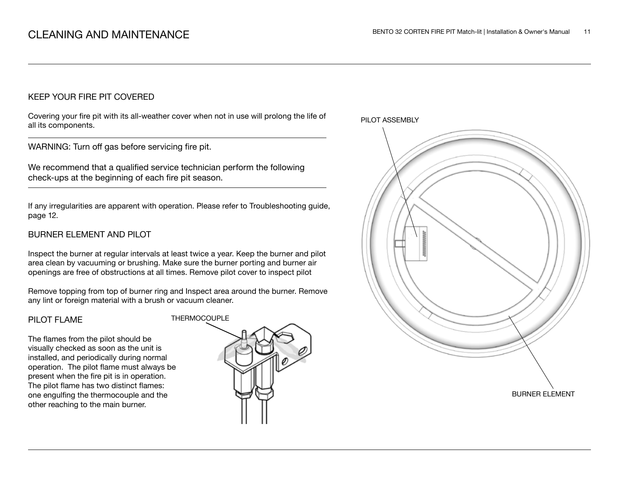### KEEP YOUR FIRE PIT COVERED

Covering your fire pit with its all-weather cover when not in use will prolong the life of all its components.

WARNING: Turn off gas before servicing fire pit.

We recommend that a qualified service technician perform the following check-ups at the beginning of each fire pit season.

If any irregularities are apparent with operation. Please refer to Troubleshooting guide, page 12.

## BURNER ELEMENT AND PILOT

Inspect the burner at regular intervals at least twice a year. Keep the burner and pilot area clean by vacuuming or brushing. Make sure the burner porting and burner air openings are free of obstructions at all times. Remove pilot cover to inspect pilot

Remove topping from top of burner ring and Inspect area around the burner. Remove any lint or foreign material with a brush or vacuum cleaner.

### PILOT FLAME

The flames from the pilot should be visually checked as soon as the unit is installed, and periodically during normal operation. The pilot flame must always be present when the fire pit is in operation. The pilot flame has two distinct flames: one engulfing the thermocouple and the other reaching to the main burner.



PILOT ASSEMBLY

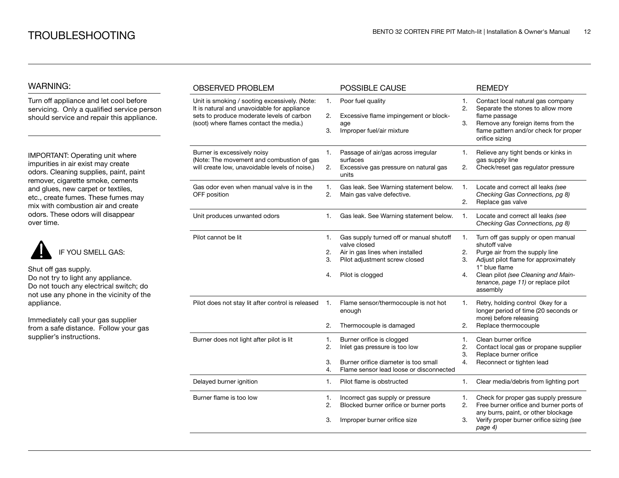### WARNING:

Turn off appliance and let cool before servicing. Only a qualified service person should service and repair this appliance.

IMPORTANT: Operating unit where impurities in air exist may create odors. Cleaning supplies, paint, paint remover, cigarette smoke, cements and glues, new carpet or textiles, etc., create fumes. These fumes may mix with combustion air and create odors. These odors will disappear over time.



Shut off gas supply. Do not try to light any appliance.

Do not touch any electrical switch; do not use any phone in the vicinity of the appliance.

Immediately call your gas supplier from a safe distance. Follow your gas supplier's instructions.

| <b>OBSERVED PROBLEM</b>                                                                                                                                                              |                      | POSSIBLE CAUSE                                                                                                                                  |                      | <b>REMEDY</b>                                                                                                                                                                                                                           |
|--------------------------------------------------------------------------------------------------------------------------------------------------------------------------------------|----------------------|-------------------------------------------------------------------------------------------------------------------------------------------------|----------------------|-----------------------------------------------------------------------------------------------------------------------------------------------------------------------------------------------------------------------------------------|
| Unit is smoking / sooting excessively. (Note:<br>It is natural and unavoidable for appliance<br>sets to produce moderate levels of carbon<br>(soot) where flames contact the media.) | 1.<br>2.<br>3.       | Poor fuel quality<br>Excessive flame impingement or block-<br>age<br>Improper fuel/air mixture                                                  | 1.<br>2.<br>3.       | Contact local natural gas company<br>Separate the stones to allow more<br>flame passage<br>Remove any foreign items from the<br>flame pattern and/or check for proper<br>orifice sizing                                                 |
| Burner is excessively noisy<br>(Note: The movement and combustion of gas<br>will create low, unavoidable levels of noise.)                                                           | 1.<br>2.             | Passage of air/gas across irregular<br>surfaces<br>Excessive gas pressure on natural gas<br>units                                               | 1.<br>2.             | Relieve any tight bends or kinks in<br>gas supply line<br>Check/reset gas regulator pressure                                                                                                                                            |
| Gas odor even when manual valve is in the<br>OFF position                                                                                                                            | 1.<br>2.             | Gas leak. See Warning statement below.<br>Main gas valve defective.                                                                             | 1.<br>2.             | Locate and correct all leaks (see<br>Checking Gas Connections, pg 8)<br>Replace gas valve                                                                                                                                               |
| Unit produces unwanted odors                                                                                                                                                         | 1.                   | Gas leak. See Warning statement below.                                                                                                          | 1.                   | Locate and correct all leaks (see<br>Checking Gas Connections, pg 8)                                                                                                                                                                    |
| Pilot cannot be lit                                                                                                                                                                  | 1.<br>2.<br>3.<br>4. | Gas supply turned off or manual shutoff<br>valve closed<br>Air in gas lines when installed<br>Pilot adjustment screw closed<br>Pilot is clogged | 1.<br>2.<br>3.<br>4. | Turn off gas supply or open manual<br>shutoff valve<br>Purge air from the supply line<br>Adjust pilot flame for approximately<br>1" blue flame<br>Clean pilot (see Cleaning and Main-<br>tenance, page 11) or replace pilot<br>assembly |
| Pilot does not stay lit after control is released                                                                                                                                    | 1.<br>2.             | Flame sensor/thermocouple is not hot<br>enough<br>Thermocouple is damaged                                                                       | 1.<br>2.             | Retry, holding control 0key for a<br>longer period of time (20 seconds or<br>more) before releasing<br>Replace thermocouple                                                                                                             |
| Burner does not light after pilot is lit                                                                                                                                             | 1.<br>2.<br>3.<br>4. | Burner orifice is clogged<br>Inlet gas pressure is too low<br>Burner orifice diameter is too small<br>Flame sensor lead loose or disconnected   | 1.<br>2.<br>3.<br>4. | Clean burner orifice<br>Contact local gas or propane supplier<br>Replace burner orifice<br>Reconnect or tighten lead                                                                                                                    |
| Delayed burner ignition                                                                                                                                                              | 1.                   | Pilot flame is obstructed                                                                                                                       | 1.                   | Clear media/debris from lighting port                                                                                                                                                                                                   |
| Burner flame is too low                                                                                                                                                              | 1.<br>2.<br>3.       | Incorrect gas supply or pressure<br>Blocked burner orifice or burner ports<br>Improper burner orifice size                                      | 1.<br>2.<br>3.       | Check for proper gas supply pressure<br>Free burner orifice and burner ports of<br>any burrs, paint, or other blockage<br>Verify proper burner orifice sizing (see<br>page 4)                                                           |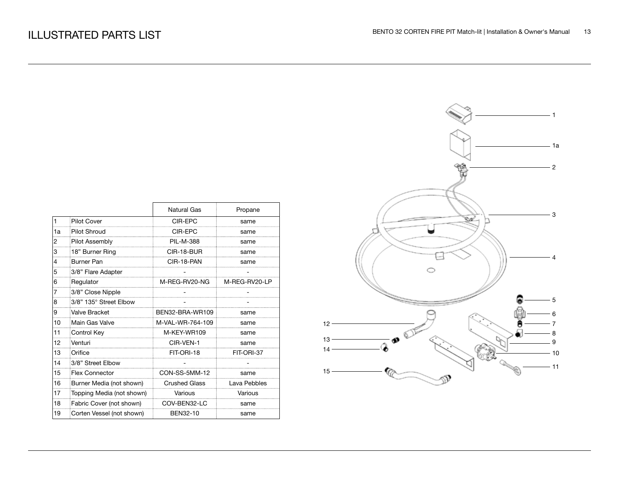|    |                           | Natural Gas          | Propane       |
|----|---------------------------|----------------------|---------------|
| 1  | <b>Pilot Cover</b>        | CIR-EPC              | same          |
| 1a | Pilot Shroud              | CIR-EPC              | same          |
| 2  | Pilot Assembly            | <b>PIL-M-388</b>     | same          |
| 3  | 18" Burner Ring           | CIR-18-BUR           | same          |
| 4  | <b>Burner Pan</b>         | CIR-18-PAN           | same          |
| 5  | 3/8" Flare Adapter        |                      |               |
| 6  | Regulator                 | M-REG-RV20-NG        | M-REG-RV20-LP |
| 7  | 3/8" Close Nipple         |                      |               |
| 8  | 3/8" 135° Street Elbow    |                      |               |
| 9  | Valve Bracket             | BEN32-BRA-WR109      | same          |
| 10 | Main Gas Valve            | M-VAL-WR-764-109     | same          |
| 11 | Control Key               | M-KEY-WR109          | same          |
| 12 | Venturi                   | CIR-VEN-1            | same          |
| 13 | Orifice                   | FIT-ORI-18           | FIT-ORI-37    |
| 14 | 3/8" Street Elbow         |                      |               |
| 15 | <b>Flex Connector</b>     | CON-SS-5MM-12        | same          |
| 16 | Burner Media (not shown)  | <b>Crushed Glass</b> | Lava Pebbles  |
| 17 | Topping Media (not shown) | Various              | Various       |
| 18 | Fabric Cover (not shown)  | COV-BEN32-LC         | same          |
| 19 | Corten Vessel (not shown) | BEN32-10             | same          |